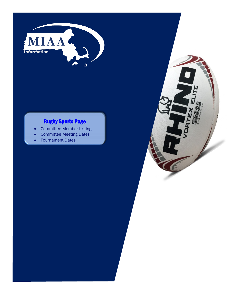

# [Rugby Sports Page](http://miaa.net/contentm/easy_pages/view.php?page_id=264&sid=38&menu_id=278)

- Committee Member Listing
- Committee Meeting Dates
- Tournament Dates

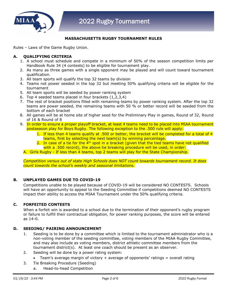

## **MASSACHUSETTS RUGBY TOURNAMENT RULES**

Rules – Laws of the Game Rugby Union.

#### **A. QUALIFYING CRITERIA**

- 1. A school must schedule and compete in a minimum of 50% of the season competition limits per Handbook Rule 34 (4 contests) to be eligible for tournament play.
- 2. As many as three games with a single opponent may be played and will count toward tournament qualification.
- 3. All team sports will qualify the top 32 teams by division
- 4. Teams not power seeded in the top 32 but meeting 50% qualifying criteria will be eligible for the tournament
- 5. All team sports will be seeded by power ranking system
- 6. Top 4 seeded teams placed in four brackets (1,2,3,4)
- 7. The rest of bracket positions filled with remaining teams by power ranking system. After the top 32 teams are power seeded, the remaining teams with 50 % or better record will be seeded from the bottom of each bracket
- 8. All games will be at home site of higher seed for the Preliminary Play in games, Round of 32, Round of 16 & Round of 8
- 9. In order to ensure a proper playoff bracket, at least 4 teams need to be placed into MIAA tournament postseason play for Boys Rugby. The following exception to the .500 rule will apply:
	- 1. If less than 4 teams qualify at .500 or better, the bracket will be completed for a total of 4 teams, first by selecting the next team(s) by winning percentage.
	- 2. In case of a tie for the  $4<sup>th</sup>$  spot in a bracket (given that the tied teams have not qualified with a .500 record), the above tie breaking procedure will be used, in order:

## A. Girls Rugby - If less than 4 teams, top 2 teams will play for the State Championship.

*Competition versus out of state High Schools does NOT count towards tournament record. It does count towards the school's weekly and seasonal limitations.*

## **B. UNPLAYED GAMES DUE TO COVID-19**

Competitions unable to be played because of COVID-19 will be considered NO CONTESTS. Schools will have an opportunity to appeal to the Seeding Committee if competitions deemed NO CONTESTS impact their ability to access the MIAA Tournament under the 50% qualifying criteria.

#### **C. FORFEITED CONTESTS**

When a forfeit win is awarded to a school due to the termination of their opponent's rugby program or failure to fulfill their contractual obligation, for power ranking purposes, the score will be entered as 14-0.

## **D. SEEDING/ PAIRING ANNOUNCEMENT**

- 1. Seeding is to be done by a committee which is limited to the tournament administrator who is a non-voting member of the seeding committee, voting members of the MIAA Rugby Committee, and may also include as voting members, district athletic committee members from the tournament district(s). At least one coach should be present as an observer.
- 2. Seeding will be done by a power rating system:
	- Team's average margin of victory  $+$  average of opponents' ratings  $=$  overall rating
- 3. Tie Breaking Procedure (Seeding)
	- a. Head-to-head Competition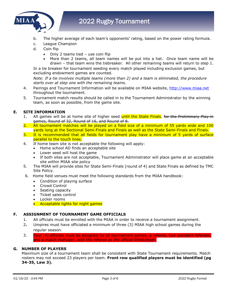

- b. The higher average of each team's opponents' rating, based on the power rating formula.
- c. League Champion
- d. Coin flip
	- Only 2 teams tied use coin flip
	- More than 2 teams, all team names will be put into a hat. Once team name will be drawn – that team wins the tiebreaker. All other remaining teams will return to step 1.

In a tie breaker for tournament seeding every match played including exclusion games, but excluding endowment games are counted.

*Note: If a tie involves multiple teams (more than 2) and a team is eliminated, the procedure starts over at step one with the remaining teams.*

- 4. Pairings and Tournament Information will be available on MIAA website, [http://www.miaa.net](http://www.miaa.net/) throughout the tournament.
- 5. Tournament match results should be called in to the Tournament Administrator by the winning team, as soon as possible, from the game site.

## **E. SITE INFORMATION**

- All games will be at home site of higher seed until the State Finals. for the Preliminary Play-in games, Round of 32, Round of 16, and Round of 8.
- 2. All tournament matches will be played on a field size of a minimum of 55 yards wide and 100 yards long at the Sectional Semi-Finals and Finals as well as the State Semi-Finals and Finals.
- 3. It is recommended that all fields for tournament play have a minimum of 5 yards of surface parallel to the touch lines.
- 4. If home team site is not acceptable the following will apply:
	- Home school AD finds an acceptable site
	- Lower seed will host the game
	- If both sites are not acceptable, Tournament Administrator will place game at an acceptable site within MIAA site policy
- 5. The MIAA will provide sites for State Semi-Finals (round of 4) and State Finals as defined by TMC Site Policy.
- 6. Home field venues must meet the following standards from the MIAA handbook:
	- Condition of playing surface
	- Crowd Control
	- Seating capacity
	- Ticket sales control
	- Locker rooms
	- Acceptable lights for night games

## **F. ASSIGNMENT OF TOURNAMENT GAME OFFICIALS**

- 1. All officials must be enrolled with the MIAA in order to receive a tournament assignment.
- 2**.** Umpires must have officiated a minimum of three (3) MIAA high school games during the regular season.
- 3. Four (4) officials must be assigned for all tournament games, a referee, two assistant referees and a match manager, with the referee as the official timekeeper.

## **G. NUMBER OF PLAYERS**

Maximum size of a tournament team shall be consistent with State Tournament requirements. Match rosters may not exceed 23 players per team. **Front row qualified players must be identified (pg 34-35, Law 3).**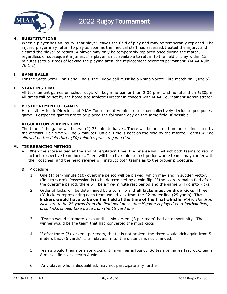

## **H. SUBSTITUTIONS**

When a player has an injury, that player leaves the field of play and may be temporarily replaced. The injured player may return to play as soon as the medical staff has assessed/treated the injury, and cleared the player to return. A player may only be temporarily replaced once during the match, regardless of subsequent injuries. If a player is not available to return to the field of play within 15 minutes (actual time) of leaving the playing area, the replacement becomes permanent. (MIAA Rule 76.1.2)

## **I. GAME BALLS**

For the State Semi-Finals and Finals, the Rugby ball must be a Rhino Vortex Elite match ball (size 5).

#### **J. STARTING TIME**

All tournament games on school days will begin no earlier than 2:30 p.m. and no later than 6:30pm. All times will be set by the home site Athletic Director in concert with MIAA Tournament Administrator.

#### **K. POSTPONEMENT OF GAMES**

Home site Athletic Director and MIAA Tournament Administrator may collectively decide to postpone a game. Postponed games are to be played the following day on the same field, if possible.

#### **L. REGULATION PLAYING TIME**

The time of the game will be two (2) 35-minute halves. There will be no stop time unless indicated by the officials. Half-time will be 5 minutes. Official time is kept on the field by the referee. *Teams will be allowed on the field thirty (30) minutes prior to game time.* 

#### **M. TIE BREAKING METHOD**

- A. When the score is tied at the end of regulation time, the referee will instruct both teams to return to their respective team boxes. There will be a five-minute rest period where teams may confer with their coaches; and the head referee will instruct both teams as to the proper procedure.
- B. Procedure
	- 1. One (1) ten-minute (10) overtime period will be played, which may end in sudden victory (first to score). Possession is to be determined by a coin flip. If the score remains tied after the overtime period, there will be a five-minute rest period and the game will go into kicks
	- 2. Order of kicks will be determined by a coin flip and **all kicks must be drop kicks**. Three (3) kickers representing each team would kick from the 22-meter line (25 yards). **The kickers would have to be on the field at the time of the final whistle.** *Note: The drop kicks are to be 25 yards from the field goal post, thus if game is played on a football field, drop kicks should take place from the 15 yard line.*
	- 3. Teams would alternate kicks until all six kickers (3 per team) had an opportunity. The winner would be the team that had converted the most kicks
	- 4. If after three (3) kickers, per team, the tie is not broken, the three would kick again from 5 meters back (5 yards). If all players miss, the distance is not changed.
	- 5. Teams would then alternate kicks until a winner is found. So team *A* makes first kick, team *B* misses first kick, team *A* wins.
	- 6. Any player who is disqualified, may not participate any further.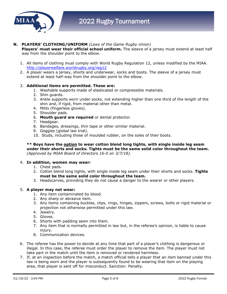

## **N. PLAYERS' CLOTHING/UNIFORM** *(Laws of the Game Rugby Union)*

**Players' must wear their official school uniform.** The sleeve of a jersey must extend at least half way from the shoulder point to the elbow.

- 1. All items of clothing must comply with World Rugby Regulation 12, unless modified by the MIAA. <http://playerwelfare.worldrugby.org/reg12>
- 2. A player wears a jersey, shorts and underwear, socks and boots. The sleeve of a jersey must extend at least half-way from the shoulder point to the elbow.

## 3. **Additional items are permitted. These are:**

- 1. Washable supports made of elasticated or compressible materials.
- 2. Shin guards.
- 3. Ankle supports worn under socks, not extending higher than one third of the length of the shin and, if rigid, from material other than metal.
- 4. Mitts (fingerless gloves).
- 5. Shoulder pads.
- 6. **Mouth guard are required** or dental protector.
- 7. Headgear.
- 8. Bandages, dressings, thin tape or other similar material.
- 9. Goggles (global law trial).
- 10. Studs, including those of moulded rubber, on the soles of their boots.

**\*\* Boys have the option to wear cotton blend long tights, with single inside leg seam under their shorts and socks. Tights must be the same solid color throughout the team.** *(Approved by MIAA Board of Directors 16-0 on 3/7/18).*

#### 4. **In addition, women may wear:**

- 1. Chest pads.
- 2. Cotton blend long tights, with single inside leg seam under their shorts and socks. **Tights must be the same solid color throughout the team.**
- 3. Headscarves, providing they do not cause a danger to the wearer or other players.

#### 5. **A player may not wear:**

- 1. Any item contaminated by blood.
- 2. Any sharp or abrasive item.
- 3. Any items containing buckles, clips, rings, hinges, zippers, screws, bolts or rigid material or projection not otherwise permitted under this law.
- 4. Jewelry.
- 5. Gloves.
- 6. Shorts with padding sewn into them.
- 7. Any item that is normally permitted in law but, in the referee's opinion, is liable to cause injury.
- 8. Communication devices.
- 6. The referee has the power to decide at any time that part of a player's clothing is dangerous or illegal. In this case, the referee must order the player to remove the item. The player must not take part in the match until the item is removed or rendered harmless.
- 7. If, at an inspection before the match, a match official tells a player that an item banned under this law is being worn and the player is subsequently found to be wearing that item on the playing area, that player is sent off for misconduct. Sanction: Penalty.